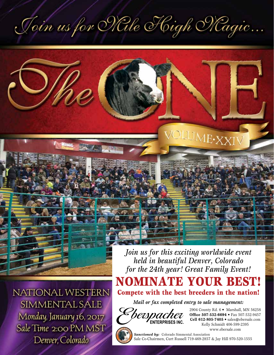Join us for Nale High Magic...



NATIONAL WESTERN SIMMENTAL SALE Monday, January 16, 2017 Sale Time 2:00 PM MST Denver, Colorado

*Join us for this exciting worldwide event held in beautiful Denver, Colorado for the 24th year! Great Family Event!*

NOMINATE YOUR BEST!

Compete with the best breeders in the nation!

*Mail or fax completed entry to sale management:*



2904 County Rd. 6 • Marshall, MN 56258 **Office 507-532-6694** • Fax 507-532-9457 **Cell 612-805-7405** • sales@ebersale.com Kelly Schmidt 406-599-2395 www.ebersale.com



*Sanctioned by:* Colorado Simmental Association Sale Co-Chairmen, Curt Russell 719-469-2857 & Jay Hill 970-520-1555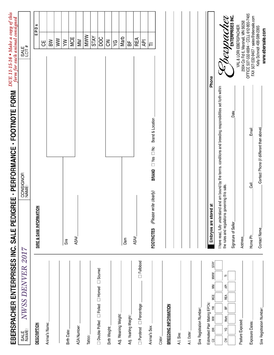| EBERSPACHER ENTERPRISES INC. SALE PEDIGREE - PERFORMANCE - FOOTNOTE FORM                             |                                                |                                                                                                                  |                  | DUE 11-15-16 • Make a copy of this<br>form for each animal consigned |                                                |                                         |  |
|------------------------------------------------------------------------------------------------------|------------------------------------------------|------------------------------------------------------------------------------------------------------------------|------------------|----------------------------------------------------------------------|------------------------------------------------|-----------------------------------------|--|
| NWSS DENVER 2017<br>SALE<br>NAME:                                                                    |                                                | CONSIGNOR<br>NAME:                                                                                               |                  |                                                                      | SALE<br>LOT #                                  |                                         |  |
| <b>DESCRIPTION</b>                                                                                   | <b>NOI</b><br>SIRE & DAM INFORMAT              |                                                                                                                  |                  |                                                                      |                                                | EPDs                                    |  |
|                                                                                                      |                                                |                                                                                                                  |                  |                                                                      | 出                                              |                                         |  |
| Animal's Name:                                                                                       |                                                |                                                                                                                  |                  |                                                                      | ВW                                             |                                         |  |
|                                                                                                      |                                                |                                                                                                                  |                  |                                                                      | WW                                             |                                         |  |
| Birth Date:                                                                                          | Sire                                           |                                                                                                                  |                  |                                                                      | XΜ                                             |                                         |  |
|                                                                                                      | ASA#                                           |                                                                                                                  |                  |                                                                      | MCE                                            |                                         |  |
| <b>ASA Number:</b>                                                                                   |                                                |                                                                                                                  |                  |                                                                      | MM                                             |                                         |  |
| Tattoo:                                                                                              |                                                |                                                                                                                  |                  |                                                                      | <b>MWW</b>                                     |                                         |  |
|                                                                                                      |                                                |                                                                                                                  |                  |                                                                      | <b>STAY</b>                                    |                                         |  |
| $\Box$ Double Polled $\Box$ Polled $\Box$ Horned $\Box$ Scurred                                      |                                                |                                                                                                                  |                  |                                                                      | <b>DOC</b>                                     |                                         |  |
| Birth Weight:                                                                                        |                                                |                                                                                                                  |                  |                                                                      | Šλ                                             |                                         |  |
| Adj. Weaning Weight:                                                                                 |                                                |                                                                                                                  |                  |                                                                      | 52                                             |                                         |  |
|                                                                                                      | Dam                                            |                                                                                                                  |                  |                                                                      | Marb                                           |                                         |  |
| Adj. Yearling Weight:                                                                                |                                                |                                                                                                                  |                  |                                                                      | 品                                              |                                         |  |
| $\Box$ Fullblood<br>$\Box$ Purebred $\Box$ Percentage                                                | ASA#                                           |                                                                                                                  |                  |                                                                      | REA                                            |                                         |  |
|                                                                                                      |                                                |                                                                                                                  |                  |                                                                      | ΑPΙ                                            |                                         |  |
| Animal's Sex:                                                                                        | (Please write clearly)<br><b>FOOTNOTES</b>     | BRAND <sup>S</sup> Yes D No                                                                                      | Brand & Location |                                                                      | 戸                                              |                                         |  |
| Color:                                                                                               |                                                |                                                                                                                  |                  |                                                                      |                                                |                                         |  |
| <b>BREEDING INFORMATION</b>                                                                          |                                                |                                                                                                                  |                  |                                                                      |                                                |                                         |  |
| A.I. Sire:                                                                                           |                                                |                                                                                                                  |                  |                                                                      |                                                |                                         |  |
| A.I. Date:                                                                                           |                                                |                                                                                                                  |                  |                                                                      |                                                |                                         |  |
| Sire Registration Number:                                                                            |                                                |                                                                                                                  |                  |                                                                      |                                                |                                         |  |
| <b>STAY</b><br><b>MWW</b><br>ΜM<br>MCE<br>Estimated Plan Mating EPDs:<br>ξ<br>$\geqslant$<br>ВW<br>5 | Embryos are stored at                          |                                                                                                                  |                  | Phone                                                                |                                                |                                         |  |
|                                                                                                      |                                                | have read, fully understand and am bound by the terms, conditions and breeding responsibilities set forth within |                  |                                                                      |                                                |                                         |  |
| ᄃ<br>₹<br>REA<br>놂<br>Marb<br>δX<br>ξ                                                                | the rules and regulations governing this sale. |                                                                                                                  |                  |                                                                      | monac                                          | ENTERPRISES INC.<br>20                  |  |
| Pasture Exposed:                                                                                     | Signature of Seller                            |                                                                                                                  | Date             |                                                                      | VAL & LORI EBERSPACHER                         |                                         |  |
|                                                                                                      | Address_                                       |                                                                                                                  |                  |                                                                      | 2904 Co Rd 6, Marshall, MN 56258               | OFFICE 507-532-6694 - CELL 612-805-7405 |  |
| Exposure Dates:                                                                                      | Home Ph                                        | <b>Cell</b>                                                                                                      | Email            |                                                                      |                                                | FAX 507-532-9457 · sales@ebersale.com   |  |
| Sire Registration Number:                                                                            | Contact Name                                   | Contact Phone (if diifferent than above).                                                                        |                  |                                                                      | Kelly Schmidt 406-599-2395<br>www.ebersale.com |                                         |  |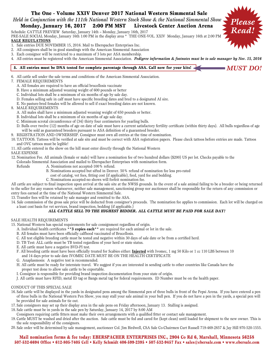# The One - Volume XXIV Denver 2017 National Western Simmental Sale *Held in Conjunction with the 111th National Western Stock Show & the National Simmental Show* Monday, January 16, 2017 2:00 PM MST Livestock Center Auction Arena

Schedule: CATTLE PREVIEW Saturday, January 14th – Monday, January 16th, 2017

PRE-SALE SOCIAL Monday, January 16th 1:00 PM in the display area \* THE ONE-VOL. XXIV Monday, January 16th at 2:00 PM **SALE REGULATIONS**

- 1. Sale entries DUE NOVEMBER 15, 2016. Mail to Eberspacher Enterprises Inc.
- 2. All consignors shall be in good standings with the American Simmental Association
- 3. Each consignor will be restricted to a maximum of 3 lots per ASA membership.
- 4. All entries must be registered with the American Simmental Association. *Pedigree information & footnotes must be to sale manager by Nov. 15, 2016*

## 5. All entries must be DNA tested for complete parentage through ASA. Call now for your kits! <

6. All cattle sell under the sale terms and conditions of the American Simmental Association.

#### 7. FEMALE REQUIREMENTS

- A. All females are required to have an official brucellosis vaccinate
- B. Have a minimum adjusted weaning weight of 600 pounds or better
- C. Individual lots shall be a minimum of six months of age by sale day.
- D. Females selling safe in calf must have specific breeding dates and bred to a designated AI sire.
- E. No pasture-bred females will be allowed to sell if exact breeding dates are not known.

### 8. MALE REQUIREMENTS

- A. All males shall have a minimum adjusted weaning weight of 650 pounds or better.
- B. Individual lots shall be a minimum of six months of age sale day.
- C. Minimum scrotal circumference of (34) thirty four centimeters for yearling bulls.
- D. Bulls over twelve (12) months of age on date of sale must have a current satisfactory fertility certificate (within thirty days). All bulls regardless of age will be sold as guaranteed breeders pursuant to ASA definition of a guaranteed breeder.
- 9. REGISTRATION AND OWNERSHIP. Consignor must own all entries at the time of nomination.
- 10. TATTOOS. Tattoos will be verified at sale site and must be correct with ASA registration papers. Please check tattoos before entries are made. Tattoos and OVC tattoos must be legible!
- 11. All cattle entered in the show on the hill must enter directly through the National Western

### SALE EXPENSE

- 12. Nomination Fee. All animals (female or male) will have a nomination fee of two hundred dollars (\$200) US per lot. Checks payable to the
- Colorado Simmental Association and mailed to Eberspacher Enterprises with nomination form.
	- Refunds A. Nominations not accepted-100% refund.
		- B. Nominations accepted but sifted in Denver. 50% refund of nomination fee less pro-rated
		- cost of catalog, vet fees, fitting cost (if applicable), feed, yard fee and bedding.
		- C. Nominations accepted-no shows will forfeit nomination fee.

All cattle are subject to final inspection upon arrival at the sale site at the NWSS grounds. In the event of a sale animal failing to be a breeder or being returned to the seller for any reason whatsoever, neither sale management, sanctioning group nor auctioneer shall be responsible for the return of any commission or entry fees earned at the time of the National Western Simmental Sale.

13. Transfer fees will be retained by sale manager and remitted to the ASA.

14. Sale commission of the gross sale price will be deducted from consignor's proceeds. The nomination fee applies to commission. Each lot will be charged on a least cost basis for vet services, brand inspection, bedding (if applicable.)

## *ALL CATTLE SELL TO THE HIGHEST BIDDER. ALL CATTLE MUST BE PAID FOR SALE DAY!*

### SALE HEALTH REQUIREMENTS

- 15. National Western has special requirements for sale consignment regardless of origin.
	- A. Individual health certificates **\*\*3 copies each\*\*** are required for each animal or lot in the sale.
	- B. All females must have been officially calfhood vaccinated of Brucellosis.
	- C. All test eligible breeding cattle must be tested and negative within 30 days of sale date or be from a certified herd.
	- D. TB Test: ALL cattle must be TB tested regardless of your herd or state status.
	- E. All cattle must have a negative BVD-PI test.
	- F. All breeding cattle must have been officially treated for Scabies either: **Injected** with Ivomec, 1 mg 50 Kilo or 1 cc 110 LBS between 10 and 14 days prior to sale date IVOMEC DATE MUST BE ON THE HEALTH CERTIFICATE
	- G. Anaplasmosis: A negative test is recommended.
	- H. All cattle must be ready for interstate travel. We suggest if you are interested in sending cattle to other countries like Canada have the proper test done to allow sale cattle to be exportable.
	- I. Consignor is responsible for providing brand inspection documentation from your state of origin.
	- J. All cattle must have RFID, metal ID tag or Bangs metal tag for federal requirements. ID Number must be on the health paper.

#### CONDUCT OF THIS SPECIAL SALE

- 16. Sale cattle will be displayed in the yards in designated pens among the Simmental pen of three bulls in front of the Pepsi Arena. If you have entered a pen of three bulls in the National Western Pen Show, you may stall your sale animal in your bull pen. If you do not have a pen in the yards, a special pen will be provided for sale animals for tie out.
- 17. Sale consignors may set up their display area in the sale pens on Friday afternoon, January 13. Stalling is assigned.
- 18. Sale cattle must be in yards in the sale pen by Saturday, January 14, 2017 by 8:00 AM
- Consignors requiring cattle fitters must make their own arrangements with a qualified fitter or contact sale management.
- 19. Cattle MUST be washed and dried after the auction. Sale cattle must be fed and cared for (kept clean) until loaded for shipment to the new owner. This is the sole responsibility of the consignors.
- 20. Sale order will be determined by sale management, auctioneer Col. Jim Birdwell, CSA Sale Co-Chairmen Curt Russell 719-469-2857 & Jay Hill 970-520-1555.

## Mail nomination forms & fee today: EBERSPACHER ENTERPRISES INC., 2904 Co Rd 6, Marshall, Minnesota 56258 507-532-6694 Office • 612-805-7405 Cell • Kelly Schmidt 406-599-2395 • 507-532-9457 Fax • sales@ebersale.com • www.ebersale.com



*MUST DO!*